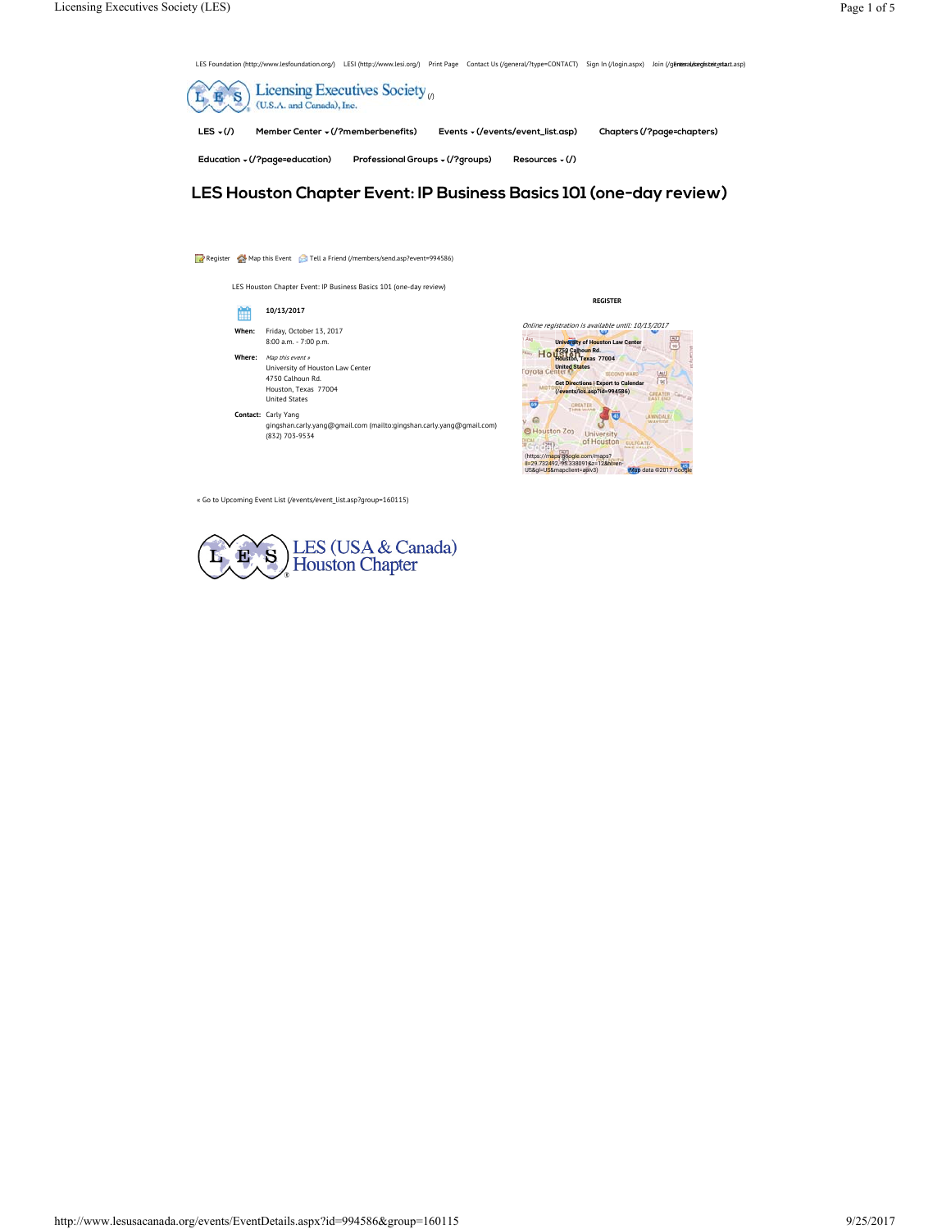LES Foundation (http://www.lesfoundation.org/) LESI (http://www.lesi.org/) Print Page Contact Us (/general/?type=CONTACT) Sign In (/login.aspx) Join (/generad/eergistertestart.asp)



**LES Houston Chapter Event: IP Business Basics 101 (one-day review)** 

# Register Map this Event **Tell a Friend (/members/send.asp?event=994586**) LES Houston Chapter Event: IP Business Basics 101 (one-day review) ▦ **10/13/2017 When:** Friday, October 13, 2017 8:00 a.m. - 7:00 p.m. Where: Map this event » University of Houston Law Center 4750 Calhoun Rd. Houston, Texas 77004 United States **Contact:** Carly Yang gingshan.carly.yang@gmail.com (mailto:gingshan.carly.yang@gmail.com) (832) 703-9534



**REGISTER**

« Go to Upcoming Event List (/events/event\_list.asp?group=160115)

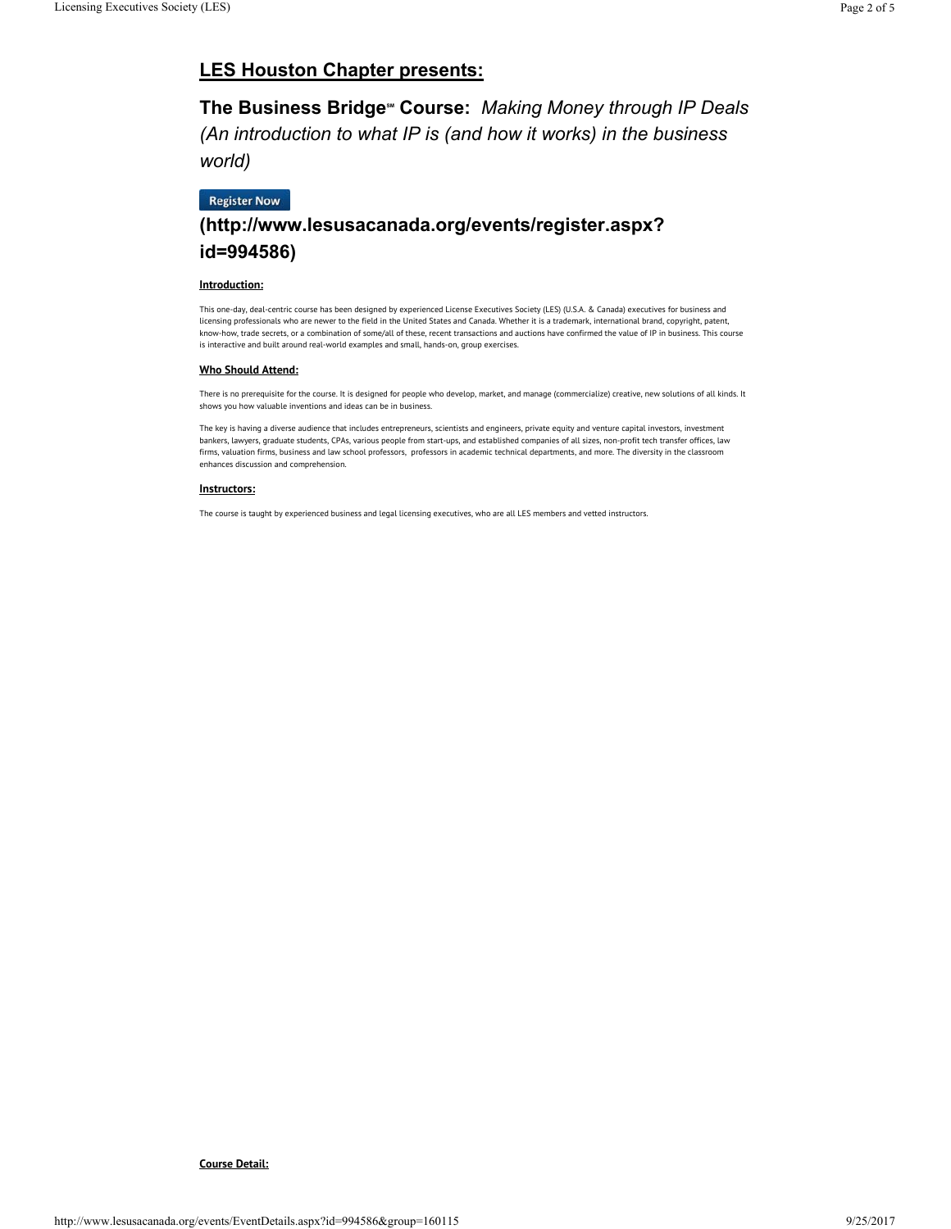# **LES Houston Chapter presents:**

**The Business Bridge<sup>®</sup> Course: Making Money through IP Deals** *(An introduction to what IP is (and how it works) in the business world)*

# **Register Now**

# **(http://www.lesusacanada.org/events/register.aspx? id=994586)**

## **Introduction:**

This one-day, deal-centric course has been designed by experienced License Executives Society (LES) (U.S.A. & Canada) executives for business and licensing professionals who are newer to the field in the United States and Canada. Whether it is a trademark, international brand, copyright, patent, know-how, trade secrets, or a combination of some/all of these, recent transactions and auctions have confirmed the value of IP in business. This course is interactive and built around real-world examples and small, hands-on, group exercises.

# **Who Should Attend:**

There is no prerequisite for the course. It is designed for people who develop, market, and manage (commercialize) creative, new solutions of all kinds. It shows you how valuable inventions and ideas can be in business.

The key is having a diverse audience that includes entrepreneurs, scientists and engineers, private equity and venture capital investors, investment bankers, lawyers, graduate students, CPAs, various people from start-ups, and established companies of all sizes, non-profit tech transfer offices, law firms, valuation firms, business and law school professors, professors in academic technical departments, and more. The diversity in the classroom enhances discussion and comprehension.

#### **Instructors:**

The course is taught by experienced business and legal licensing executives, who are all LES members and vetted instructors.

## **Course Detail:**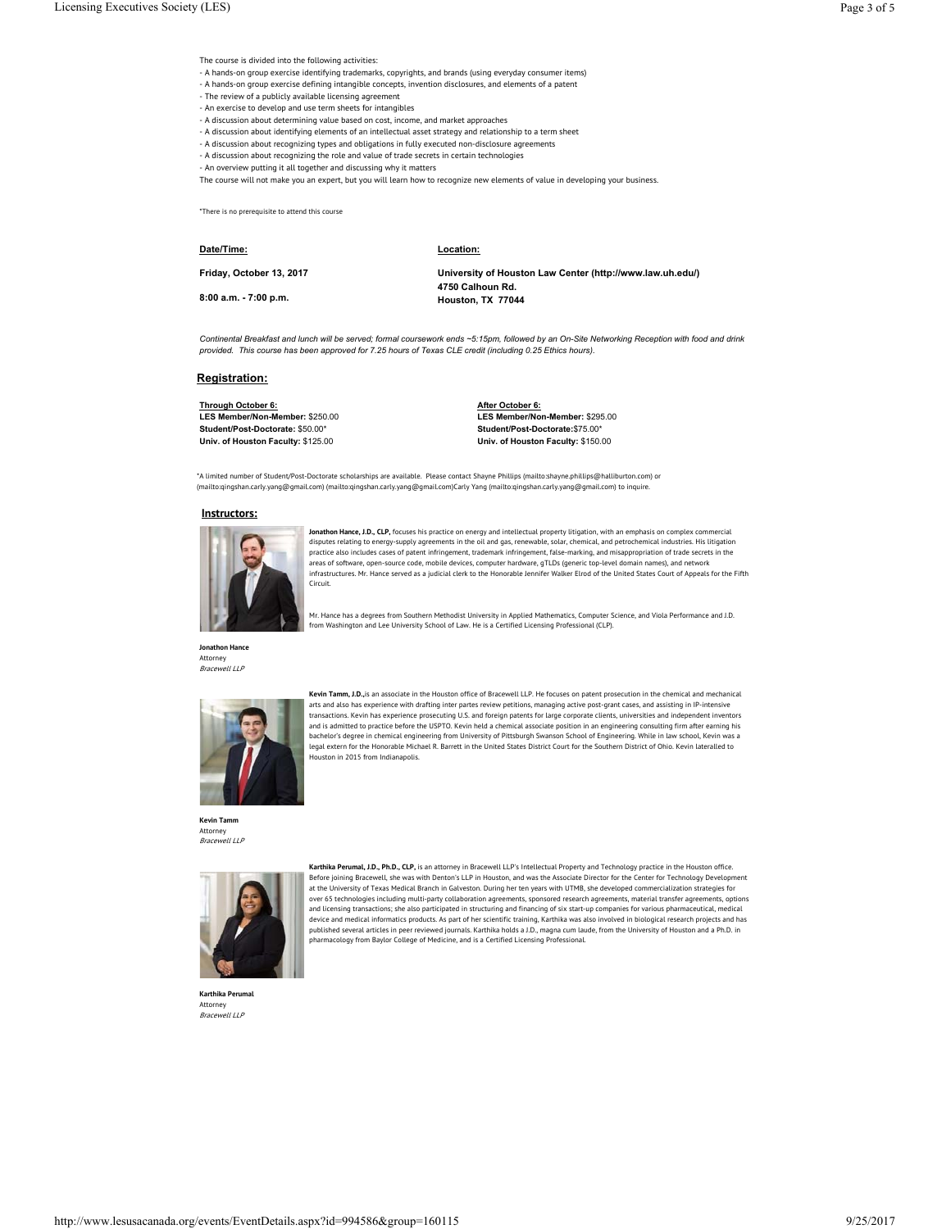The course is divided into the following activities:

- A hands-on group exercise identifying trademarks, copyrights, and brands (using everyday consumer items)
- A hands-on group exercise defining intangible concepts, invention disclosures, and elements of a patent
- The review of a publicly available licensing agreement
- An exercise to develop and use term sheets for intangibles
- A discussion about determining value based on cost, income, and market approaches
- A discussion about identifying elements of an intellectual asset strategy and relationship to a term sheet
- A discussion about recognizing types and obligations in fully executed non-disclosure agreements
- A discussion about recognizing the role and value of trade secrets in certain technologies
- An overview putting it all together and discussing why it matters

The course will not make you an expert, but you will learn how to recognize new elements of value in developing your business.

\*There is no prerequisite to attend this course

#### **Date/Time:**

**Location:**

**Friday, October 13, 2017**

**8:00 a.m. - 7:00 p.m.**

**University of Houston Law Center (http://www.law.uh.edu/) 4750 Calhoun Rd. Houston, TX 77044**

*Continental Breakfast and lunch will be served; formal coursework ends ~5:15pm, followed by an On-Site Networking Reception with food and drink provided. This course has been approved for 7.25 hours of Texas CLE credit (including 0.25 Ethics hours).*

#### **Registration:**

**Through October 6: LES Member/Non-Member:** \$250.00 **Student/Post-Doctorate:** \$50.00\* **Univ. of Houston Faculty:** \$125.00

**After October 6: LES Member/Non-Member:** \$295.00 **Student/Post-Doctorate:**\$75.00\* **Univ. of Houston Faculty:** \$150.00

\*A limited number of Student/Post-Doctorate scholarships are available. Please contact Shayne Phillips (mailto:shayne.phillips@halliburton.com) or (mailto:qingshan.carly.yang@gmail.com) (mailto:qingshan.carly.yang@gmail.com)Carly Yang (mailto:qingshan.carly.yang@gmail.com) to inquire.

from Washington and Lee University School of Law. He is a Certified Licensing Professional (CLP).

#### **Instructors:**



**Jonathon Hance, J.D., CLP,** focuses his practice on energy and intellectual property litigation, with an emphasis on complex commercial disputes relating to energy-supply agreements in the oil and gas, renewable, solar, chemical, and petrochemical industries. His litigation practice also includes cases of patent infringement, trademark infringement, false-marking, and misappropriation of trade secrets in the areas of software, open-source code, mobile devices, computer hardware, gTLDs (generic top-level domain names), and network infrastructures. Mr. Hance served as a judicial clerk to the Honorable Jennifer Walker Elrod of the United States Court of Appeals for the Fifth Circuit.

Mr. Hance has a degrees from Southern Methodist University in Applied Mathematics, Computer Science, and Viola Performance and J.D.

**Jonathon Hance** Attorney Bracewell LLP



**Kevin Tamm, J.D.,**is an associate in the Houston office of Bracewell LLP. He focuses on patent prosecution in the chemical and mechanical arts and also has experience with drafting inter partes review petitions, managing active post-grant cases, and assisting in IP-intensive transactions. Kevin has experience prosecuting U.S. and foreign patents for large corporate clients, universities and independent inventors<br>and is admitted to practice before the USPTO. Kevin held a chemical associate posi bachelor's degree in chemical engineering from University of Pittsburgh Swanson School of Engineering. While in law school, Kevin was a<br>legal extern for the Honorable Michael R. Barrett in the United States District Court Houston in 2015 from Indianapolis.

**Kevin Tamm** Attorney<br>*Bracewell LLP* 



**Karthika Perumal, J.D., Ph.D., CLP,** is an attorney in Bracewell LLP's Intellectual Property and Technology practice in the Houston office.<br>Before joining Bracewell, she was with Denton's LLP in Houston, and was the Assoc at the University of Texas Medical Branch in Galveston. During her ten years with UTMB, she developed commercialization strategies for<br>over 65 technologies including multi-party collaboration agreements, sponsored research and licensing transactions; she also participated in structuring and financing of six start-up companies for various pharmaceutical, medical device and medical informatics products. As part of her scientific training, Karthika was also involved in biological research projects and has published several articles in peer reviewed journals. Karthika holds a J.D., magna cum laude, from the University of Houston and a Ph.D. in pharmacology from Baylor College of Medicine, and is a Certified Licensing Professional.

**Karthika Perumal** Attorney Bracewell LLP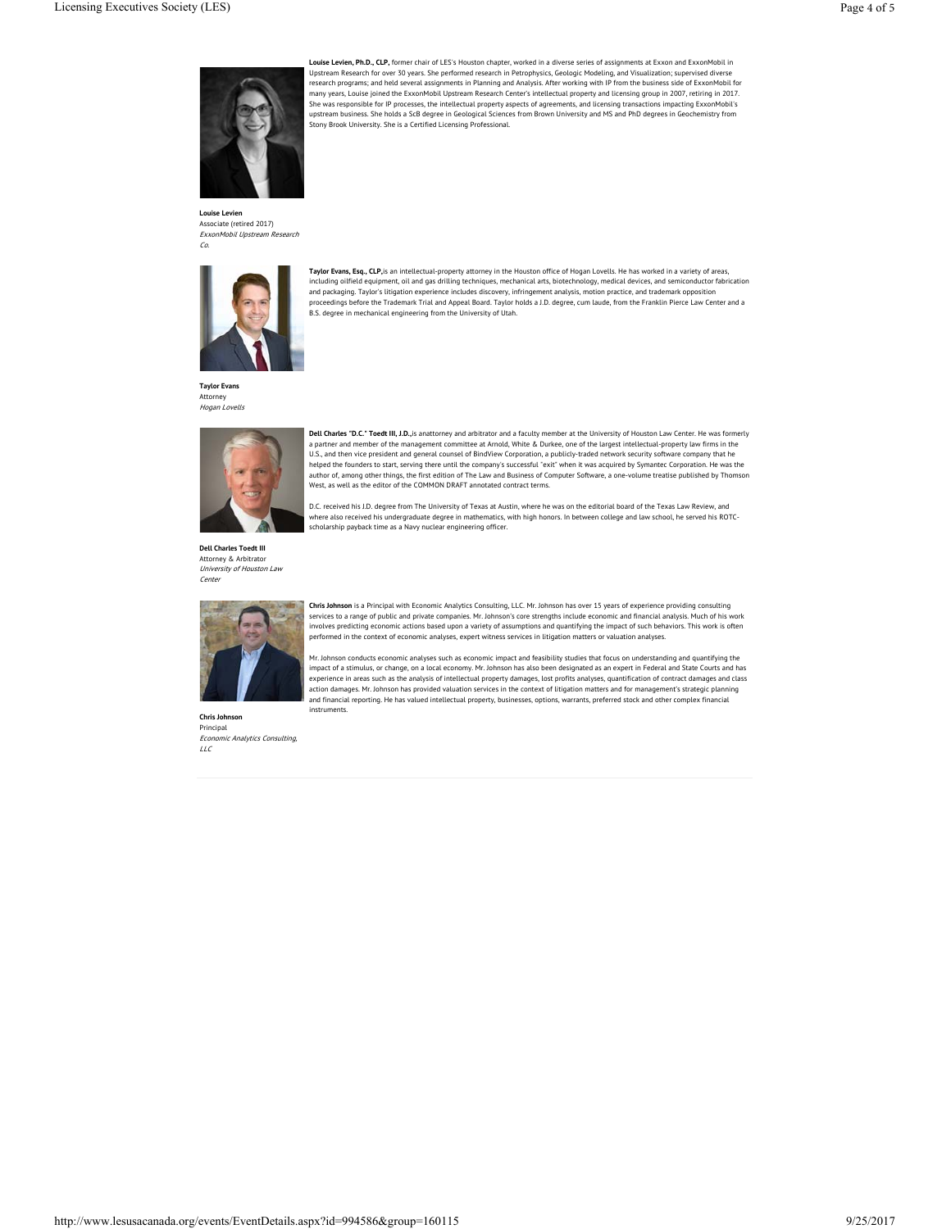

**Louise Levien, Ph.D., CLP,** former chair of LES's Houston chapter, worked in a diverse series of assignments at Exxon and ExxonMobil in Upstream Research for over 30 years. She performed research in Petrophysics, Geologic Modeling, and Visualization; supervised diverse research programs; and held several assignments in Planning and Analysis. After working with IP from the business side of ExxonMobil for many years, Louise joined the ExxonMobil Upstream Research Center's intellectual property and licensing group in 2007, retiring in 2017. She was responsible for IP processes, the intellectual property aspects of agreements, and licensing transactions impacting ExxonMobil's<br>upstream business. She holds a ScB degree in Geological Sciences from Brown Universit Stony Brook University. She is a Certified Licensing Professional.

**Louise Levien** Associate (retired 2017)<br>*ExxonMobil Upstream Research* Co.



**Taylor Evans, Esq., CLP,**is an intellectual-property attorney in the Houston office of Hogan Lovells. He has worked in a variety of areas, including oilfield equipment, oil and gas drilling techniques, mechanical arts, biotechnology, medical devices, and semiconductor fabrication<br>and packaging. Taylor's litigation experience includes discovery, infringement a proceedings before the Trademark Trial and Appeal Board. Taylor holds a J.D. degree, cum laude, from the Franklin Pierce Law Center and a B.S. degree in mechanical engineering from the University of Utah.

**Taylor Evans** Attorney Hogan Lovells



**Dell Charles "D.C." Toedt III, J.D.,**is anattorney and arbitrator and a faculty member at the University of Houston Law Center. He was formerly a partner and member of the management committee at Arnold, White & Durkee, one of the largest intellectual-property law firms in the<br>U.S., and then vice president and general counsel of BindView Corporation, a publicly-tr helped the founders to start, serving there until the company's successful "exit" when it was acquired by Symantec Corporation. He was the<br>author of, among other things, the first edition of The Law and Business of Compute West, as well as the editor of the COMMON DRAFT annotated contract terms.

D.C. received his J.D. degree from The University of Texas at Austin, where he was on the editorial board of the Texas Law Review, and<br>where also received his undergraduate degree in mathematics, with high honors. In betwe

scholarship payback time as a Navy nuclear engineering officer.

**Dell Charles Toedt III** Attorney & Arbitrator University of Houston Law Center



**Chris Johnson** is a Principal with Economic Analytics Consulting, LLC. Mr. Johnson has over 15 years of experience providing consulting services to a range of public and private companies. Mr. Johnson's core strengths include economic and financial analysis. Much of his work<br>involves predicting economic actions based upon a variety of assumptions and quant performed in the context of economic analyses, expert witness services in litigation matters or valuation analyses.

Mr. Johnson conducts economic analyses such as economic impact and feasibility studies that focus on understanding and quantifying the<br>impact of a stimulus, or change, on a local economy. Mr. Johnson has also been designat experience in areas such as the analysis of intellectual property damages, lost profits analyses, quantification of contract damages and class<br>action damages. Mr. Johnson has provided valuation services in the context of l and financial reporting. He has valued intellectual property, businesses, options, warrants, preferred stock and other complex financial instruments.

**Chris John** Principal Economic Analytics Consulting, LLC